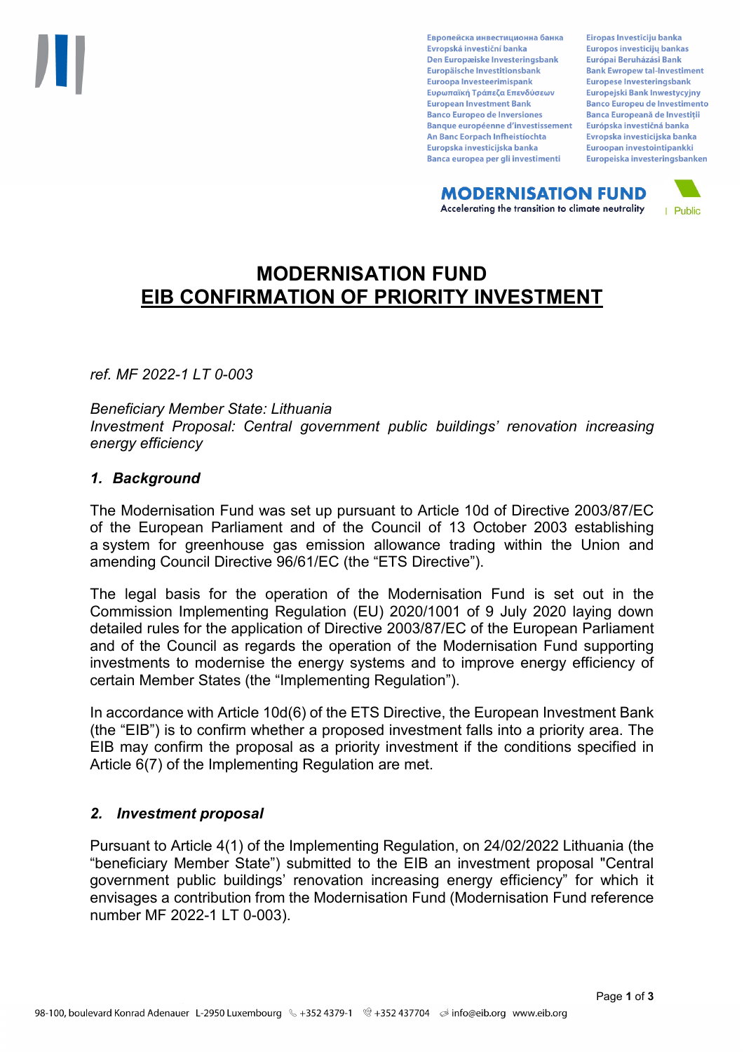Европейска инвестиционна банка Evropská investiční banka Den Europæiske Investeringsbank Europäische Investitionsbank Euroopa Investeerimispank Ευρωπαϊκή Τράπεζα Επενδύσεων **European Investment Bank Banco Europeo de Inversiones Banque européenne d'investissement** An Banc Eorpach Infheistíochta Europska investicijska banka Banca europea per gli investimenti

Eiropas Investīciju banka Europos investicijų bankas Európai Beruházási Bank **Bank Ewropew tal-Investiment** Europese Investeringsbank **Europeiski Bank Inwestycviny Banco Europeu de Investimento Banca Europeană de Investiții** Európska investičná banka Evropska investicijska banka Euroopan investointipankki Europeiska investeringsbanken

**MODERNISATION FUND** Accelerating the transition to climate neutrality



# **MODERNISATION FUND EIB CONFIRMATION OF PRIORITY INVESTMENT**

*ref. MF 2022-1 LT 0-003*

### *Beneficiary Member State: Lithuania Investment Proposal: Central government public buildings' renovation increasing energy efficiency*

### *1. Background*

The Modernisation Fund was set up pursuant to Article 10d of Directive 2003/87/EC of the European Parliament and of the Council of 13 October 2003 establishing a system for greenhouse gas emission allowance trading within the Union and amending Council Directive 96/61/EC (the "ETS Directive").

The legal basis for the operation of the Modernisation Fund is set out in the Commission Implementing Regulation (EU) 2020/1001 of 9 July 2020 laying down detailed rules for the application of Directive 2003/87/EC of the European Parliament and of the Council as regards the operation of the Modernisation Fund supporting investments to modernise the energy systems and to improve energy efficiency of certain Member States (the "Implementing Regulation").

In accordance with Article 10d(6) of the ETS Directive, the European Investment Bank (the "EIB") is to confirm whether a proposed investment falls into a priority area. The EIB may confirm the proposal as a priority investment if the conditions specified in Article 6(7) of the Implementing Regulation are met.

### *2. Investment proposal*

Pursuant to Article 4(1) of the Implementing Regulation, on 24/02/2022 Lithuania (the "beneficiary Member State") submitted to the EIB an investment proposal "Central government public buildings' renovation increasing energy efficiency" for which it envisages a contribution from the Modernisation Fund (Modernisation Fund reference number MF 2022-1 LT 0-003).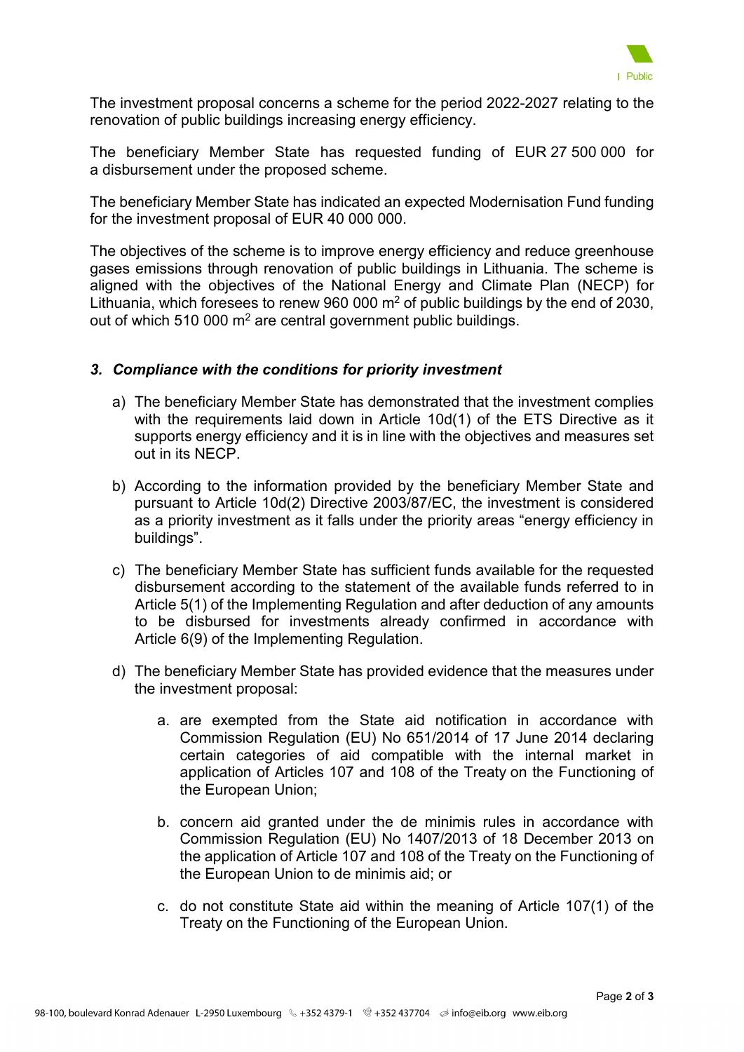

The investment proposal concerns a scheme for the period 2022-2027 relating to the renovation of public buildings increasing energy efficiency.

The beneficiary Member State has requested funding of EUR 27 500 000 for a disbursement under the proposed scheme.

The beneficiary Member State has indicated an expected Modernisation Fund funding for the investment proposal of EUR 40 000 000.

The objectives of the scheme is to improve energy efficiency and reduce greenhouse gases emissions through renovation of public buildings in Lithuania. The scheme is aligned with the objectives of the National Energy and Climate Plan (NECP) for Lithuania, which foresees to renew 960 000  $m<sup>2</sup>$  of public buildings by the end of 2030, out of which 510 000  $m^2$  are central government public buildings.

## *3. Compliance with the conditions for priority investment*

- a) The beneficiary Member State has demonstrated that the investment complies with the requirements laid down in Article 10d(1) of the ETS Directive as it supports energy efficiency and it is in line with the objectives and measures set out in its NECP.
- b) According to the information provided by the beneficiary Member State and pursuant to Article 10d(2) Directive 2003/87/EC, the investment is considered as a priority investment as it falls under the priority areas "energy efficiency in buildings".
- c) The beneficiary Member State has sufficient funds available for the requested disbursement according to the statement of the available funds referred to in Article 5(1) of the Implementing Regulation and after deduction of any amounts to be disbursed for investments already confirmed in accordance with Article 6(9) of the Implementing Regulation.
- d) The beneficiary Member State has provided evidence that the measures under the investment proposal:
	- a. are exempted from the State aid notification in accordance with Commission Regulation (EU) No 651/2014 of 17 June 2014 declaring certain categories of aid compatible with the internal market in application of Articles 107 and 108 of the Treaty on the Functioning of the European Union;
	- b. concern aid granted under the de minimis rules in accordance with Commission Regulation (EU) No 1407/2013 of 18 December 2013 on the application of Article 107 and 108 of the Treaty on the Functioning of the European Union to de minimis aid; or
	- c. do not constitute State aid within the meaning of Article 107(1) of the Treaty on the Functioning of the European Union.